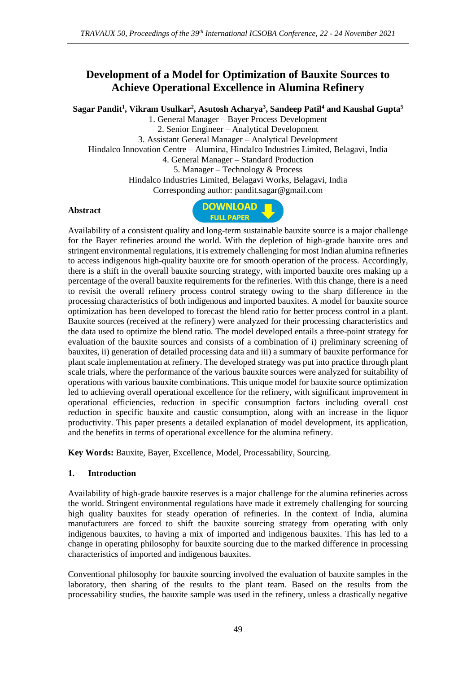# **Development of a Model for Optimization of Bauxite Sources to Achieve Operational Excellence in Alumina Refinery**

**Sagar Pandit<sup>1</sup> , Vikram Usulkar<sup>2</sup> , Asutosh Acharya<sup>3</sup> , Sandeep Patil<sup>4</sup> and Kaushal Gupta<sup>5</sup>**

1. General Manager – Bayer Process Development 2. Senior Engineer – Analytical Development 3. Assistant General Manager – Analytical Development Hindalco Innovation Centre – Alumina, Hindalco Industries Limited, Belagavi, India 4. General Manager – Standard Production 5. Manager – Technology & Process Hindalco Industries Limited, Belagavi Works, Belagavi, India Corresponding author: pandit.sagar@gmail.com

### **Abstract**



Availability of a consistent quality and long-term sustainable bauxite source is a major challenge for the Bayer refineries around the world. With the depletion of high-grade bauxite ores and stringent environmental regulations, it is extremely challenging for most Indian alumina refineries to access indigenous high-quality bauxite ore for smooth operation of the process. Accordingly, there is a shift in the overall bauxite sourcing strategy, with imported bauxite ores making up a percentage of the overall bauxite requirements for the refineries. With this change, there is a need to revisit the overall refinery process control strategy owing to the sharp difference in the processing characteristics of both indigenous and imported bauxites. A model for bauxite source optimization has been developed to forecast the blend ratio for better process control in a plant. Bauxite sources (received at the refinery) were analyzed for their processing characteristics and the data used to optimize the blend ratio. The model developed entails a three-point strategy for evaluation of the bauxite sources and consists of a combination of i) preliminary screening of bauxites, ii) generation of detailed processing data and iii) a summary of bauxite performance for plant scale implementation at refinery. The developed strategy was put into practice through plant scale trials, where the performance of the various bauxite sources were analyzed for suitability of operations with various bauxite combinations. This unique model for bauxite source optimization led to achieving overall operational excellence for the refinery, with significant improvement in operational efficiencies, reduction in specific consumption factors including overall cost reduction in specific bauxite and caustic consumption, along with an increase in the liquor productivity. This paper presents a detailed explanation of model development, its application, and the benefits in terms of operational excellence for the alumina refinery.

**Key Words:** Bauxite, Bayer, Excellence, Model, Processability, Sourcing.

### **1. Introduction**

Availability of high-grade bauxite reserves is a major challenge for the alumina refineries across the world. Stringent environmental regulations have made it extremely challenging for sourcing high quality bauxites for steady operation of refineries. In the context of India, alumina manufacturers are forced to shift the bauxite sourcing strategy from operating with only indigenous bauxites, to having a mix of imported and indigenous bauxites. This has led to a change in operating philosophy for bauxite sourcing due to the marked difference in processing characteristics of imported and indigenous bauxites.

Conventional philosophy for bauxite sourcing involved the evaluation of bauxite samples in the laboratory, then sharing of the results to the plant team. Based on the results from the processability studies, the bauxite sample was used in the refinery, unless a drastically negative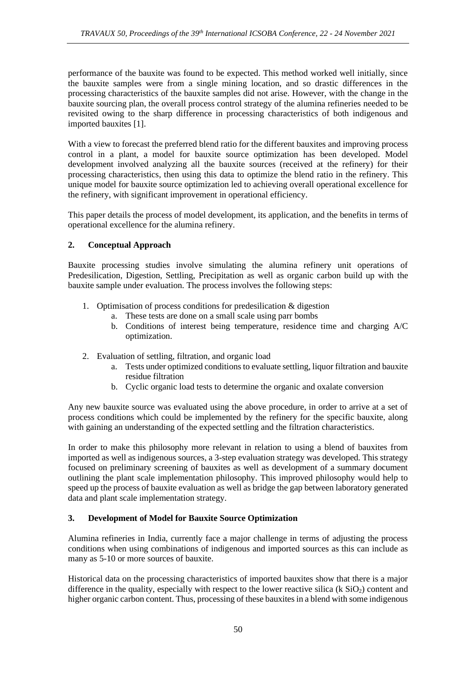performance of the bauxite was found to be expected. This method worked well initially, since the bauxite samples were from a single mining location, and so drastic differences in the processing characteristics of the bauxite samples did not arise. However, with the change in the bauxite sourcing plan, the overall process control strategy of the alumina refineries needed to be revisited owing to the sharp difference in processing characteristics of both indigenous and imported bauxites [1].

With a view to forecast the preferred blend ratio for the different bauxites and improving process control in a plant, a model for bauxite source optimization has been developed. Model development involved analyzing all the bauxite sources (received at the refinery) for their processing characteristics, then using this data to optimize the blend ratio in the refinery. This unique model for bauxite source optimization led to achieving overall operational excellence for the refinery, with significant improvement in operational efficiency.

This paper details the process of model development, its application, and the benefits in terms of operational excellence for the alumina refinery.

## **2. Conceptual Approach**

Bauxite processing studies involve simulating the alumina refinery unit operations of Predesilication, Digestion, Settling, Precipitation as well as organic carbon build up with the bauxite sample under evaluation. The process involves the following steps:

- 1. Optimisation of process conditions for predesilication & digestion
	- a. These tests are done on a small scale using parr bombs
	- b. Conditions of interest being temperature, residence time and charging A/C optimization.
- 2. Evaluation of settling, filtration, and organic load
	- a. Tests under optimized conditions to evaluate settling, liquor filtration and bauxite residue filtration
	- b. Cyclic organic load tests to determine the organic and oxalate conversion

Any new bauxite source was evaluated using the above procedure, in order to arrive at a set of process conditions which could be implemented by the refinery for the specific bauxite, along with gaining an understanding of the expected settling and the filtration characteristics.

In order to make this philosophy more relevant in relation to using a blend of bauxites from imported as well as indigenous sources, a 3-step evaluation strategy was developed. This strategy focused on preliminary screening of bauxites as well as development of a summary document outlining the plant scale implementation philosophy. This improved philosophy would help to speed up the process of bauxite evaluation as well as bridge the gap between laboratory generated data and plant scale implementation strategy.

# **3. Development of Model for Bauxite Source Optimization**

Alumina refineries in India, currently face a major challenge in terms of adjusting the process conditions when using combinations of indigenous and imported sources as this can include as many as 5-10 or more sources of bauxite.

Historical data on the processing characteristics of imported bauxites show that there is a major difference in the quality, especially with respect to the lower reactive silica ( $k$  SiO<sub>2</sub>) content and higher organic carbon content. Thus, processing of these bauxites in a blend with some indigenous